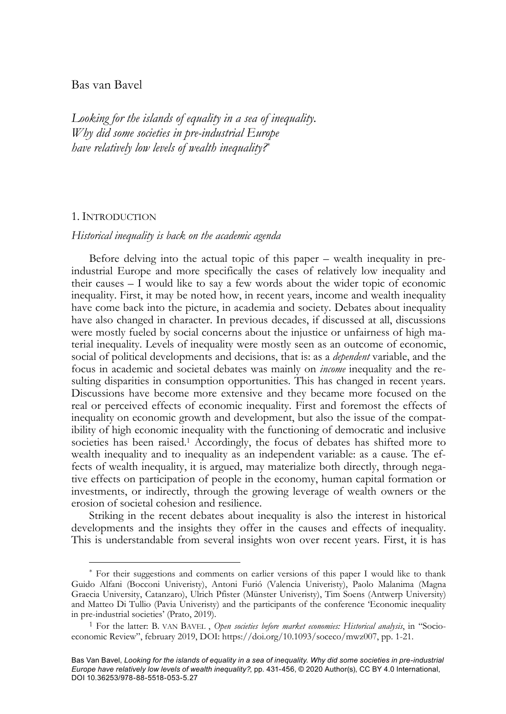# Bas van Bavel

*Looking for the islands of equality in a sea of inequality. Why did some societies in pre-industrial Europe have relatively low levels of wealth inequality?*\*

### 1. INTRODUCTION

#### *Historical inequality is back on the academic agenda*

Before delving into the actual topic of this paper – wealth inequality in preindustrial Europe and more specifically the cases of relatively low inequality and their causes  $-\bar{I}$  would like to say a few words about the wider topic of economic inequality. First, it may be noted how, in recent years, income and wealth inequality have come back into the picture, in academia and society. Debates about inequality have also changed in character. In previous decades, if discussed at all, discussions were mostly fueled by social concerns about the injustice or unfairness of high material inequality. Levels of inequality were mostly seen as an outcome of economic, social of political developments and decisions, that is: as a *dependent* variable, and the focus in academic and societal debates was mainly on *income* inequality and the resulting disparities in consumption opportunities. This has changed in recent years. Discussions have become more extensive and they became more focused on the real or perceived effects of economic inequality. First and foremost the effects of inequality on economic growth and development, but also the issue of the compatibility of high economic inequality with the functioning of democratic and inclusive societies has been raised.<sup>1</sup> Accordingly, the focus of debates has shifted more to wealth inequality and to inequality as an independent variable: as a cause. The effects of wealth inequality, it is argued, may materialize both directly, through negative effects on participation of people in the economy, human capital formation or investments, or indirectly, through the growing leverage of wealth owners or the erosion of societal cohesion and resilience.

Striking in the recent debates about inequality is also the interest in historical developments and the insights they offer in the causes and effects of inequality. This is understandable from several insights won over recent years. First, it is has

<sup>\*</sup> For their suggestions and comments on earlier versions of this paper I would like to thank Guido Alfani (Bocconi Univeristy), Antoni Furió (Valencia Univeristy), Paolo Malanima (Magna Graecia University, Catanzaro), Ulrich Pfister (Münster Univeristy), Tim Soens (Antwerp University) and Matteo Di Tullio (Pavia Univeristy) and the participants of the conference 'Economic inequality in pre-industrial societies' (Prato, 2019).<br><sup>1</sup> For the latter: B. VAN BAVEL, *Open societies before market economies: Historical analysis*, in "Socio-

economic Review", february 2019, DOI: https://doi.org/10.1093/soceco/mwz007, pp. 1-21.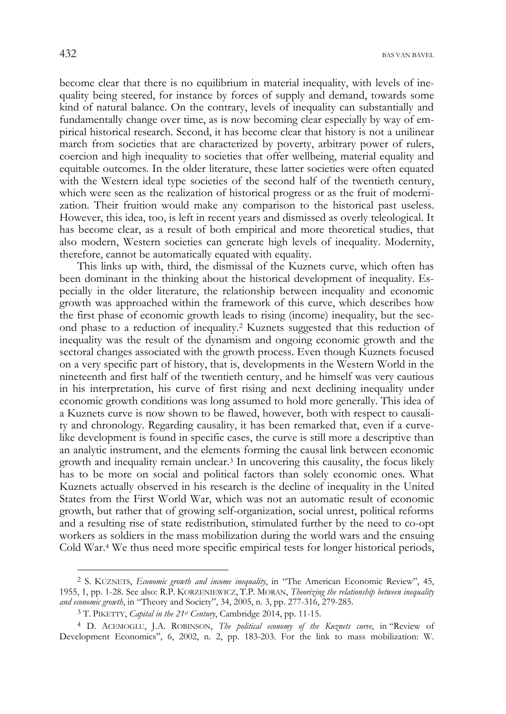become clear that there is no equilibrium in material inequality, with levels of inequality being steered, for instance by forces of supply and demand, towards some kind of natural balance. On the contrary, levels of inequality can substantially and fundamentally change over time, as is now becoming clear especially by way of empirical historical research. Second, it has become clear that history is not a unilinear march from societies that are characterized by poverty, arbitrary power of rulers, coercion and high inequality to societies that offer wellbeing, material equality and equitable outcomes. In the older literature, these latter societies were often equated with the Western ideal type societies of the second half of the twentieth century, which were seen as the realization of historical progress or as the fruit of modernization. Their fruition would make any comparison to the historical past useless. However, this idea, too, is left in recent years and dismissed as overly teleological. It has become clear, as a result of both empirical and more theoretical studies, that also modern, Western societies can generate high levels of inequality. Modernity, therefore, cannot be automatically equated with equality.

This links up with, third, the dismissal of the Kuznets curve, which often has been dominant in the thinking about the historical development of inequality. Especially in the older literature, the relationship between inequality and economic growth was approached within the framework of this curve, which describes how the first phase of economic growth leads to rising (income) inequality, but the second phase to a reduction of inequality.2 Kuznets suggested that this reduction of inequality was the result of the dynamism and ongoing economic growth and the sectoral changes associated with the growth process. Even though Kuznets focused on a very specific part of history, that is, developments in the Western World in the nineteenth and first half of the twentieth century, and he himself was very cautious in his interpretation, his curve of first rising and next declining inequality under economic growth conditions was long assumed to hold more generally. This idea of a Kuznets curve is now shown to be flawed, however, both with respect to causality and chronology. Regarding causality, it has been remarked that, even if a curvelike development is found in specific cases, the curve is still more a descriptive than an analytic instrument, and the elements forming the causal link between economic growth and inequality remain unclear.3 In uncovering this causality, the focus likely has to be more on social and political factors than solely economic ones. What Kuznets actually observed in his research is the decline of inequality in the United States from the First World War, which was not an automatic result of economic growth, but rather that of growing self-organization, social unrest, political reforms and a resulting rise of state redistribution, stimulated further by the need to co-opt workers as soldiers in the mass mobilization during the world wars and the ensuing Cold War.4 We thus need more specific empirical tests for longer historical periods,

<sup>2</sup> S. KUZNETS, *Economic growth and income inequality*, in "The American Economic Review", 45, 1955, 1, pp. 1-28. See also: R.P. KORZENIEWICZ, T.P. MORAN, *Theorizing the relationship between inequality and economic growth*, in "Theory and Society", 34, 2005, n. 3, pp. 277-316, 279-285.

<sup>3</sup> T. PIKETTY, *Capital in the 21st Century*, Cambridge 2014, pp. 11-15.

<sup>4</sup> D. ACEMOGLU, J.A. ROBINSON, *The political economy of the Kuznets curve*, in "Review of Development Economics", 6, 2002, n. 2, pp. 183-203. For the link to mass mobilization: W.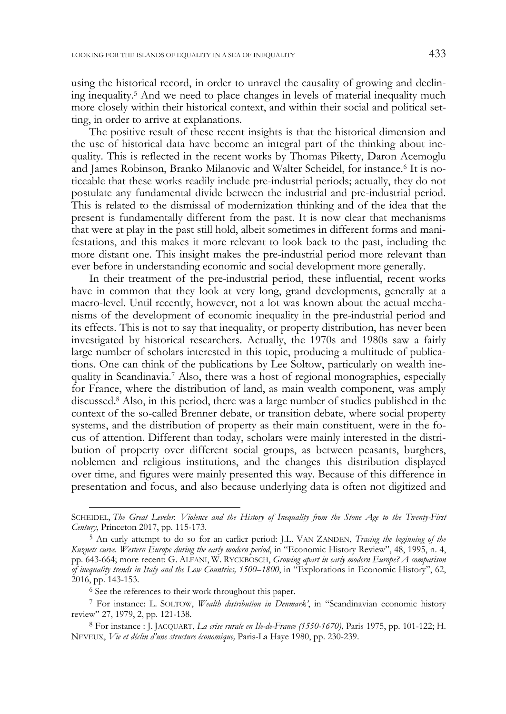using the historical record, in order to unravel the causality of growing and declining inequality.5 And we need to place changes in levels of material inequality much more closely within their historical context, and within their social and political setting, in order to arrive at explanations.

The positive result of these recent insights is that the historical dimension and the use of historical data have become an integral part of the thinking about inequality. This is reflected in the recent works by Thomas Piketty, Daron Acemoglu and James Robinson, Branko Milanovic and Walter Scheidel, for instance.6 It is noticeable that these works readily include pre-industrial periods; actually, they do not postulate any fundamental divide between the industrial and pre-industrial period. This is related to the dismissal of modernization thinking and of the idea that the present is fundamentally different from the past. It is now clear that mechanisms that were at play in the past still hold, albeit sometimes in different forms and manifestations, and this makes it more relevant to look back to the past, including the more distant one. This insight makes the pre-industrial period more relevant than ever before in understanding economic and social development more generally.

In their treatment of the pre-industrial period, these influential, recent works have in common that they look at very long, grand developments, generally at a macro-level. Until recently, however, not a lot was known about the actual mechanisms of the development of economic inequality in the pre-industrial period and its effects. This is not to say that inequality, or property distribution, has never been investigated by historical researchers. Actually, the 1970s and 1980s saw a fairly large number of scholars interested in this topic, producing a multitude of publications. One can think of the publications by Lee Soltow, particularly on wealth inequality in Scandinavia.7 Also, there was a host of regional monographies, especially for France, where the distribution of land, as main wealth component, was amply discussed.8 Also, in this period, there was a large number of studies published in the context of the so-called Brenner debate, or transition debate, where social property systems, and the distribution of property as their main constituent, were in the focus of attention. Different than today, scholars were mainly interested in the distribution of property over different social groups, as between peasants, burghers, noblemen and religious institutions, and the changes this distribution displayed over time, and figures were mainly presented this way. Because of this difference in presentation and focus, and also because underlying data is often not digitized and

SCHEIDEL, *The Great Leveler. Violence and the History of Inequality from the Stone Age to the Twenty-First Century*, Princeton 2017, pp. 115-173.

<sup>5</sup> An early attempt to do so for an earlier period: J.L. VAN ZANDEN, *Tracing the beginning of the Kuznets curve. Western Europe during the early modern period*, in "Economic History Review", 48, 1995, n. 4, pp. 643-664; more recent: G. ALFANI, W. RYCKBOSCH, *Growing apart in early modern Europe? A comparison of inequality trends in Italy and the Low Countries, 1500–1800*, in "Explorations in Economic History", 62, 2016, pp. 143-153.

<sup>6</sup> See the references to their work throughout this paper.

<sup>7</sup> For instance: L. SOLTOW, *Wealth distribution in Denmark'*, in "Scandinavian economic history review" 27, 1979, 2, pp. 121-138.

<sup>8</sup> For instance : J. JACQUART, *La crise rurale en Ile-de-France (1550-1670),* Paris 1975, pp. 101-122; H. NEVEUX, *Vie et déclin d'une structure économique,* Paris-La Haye 1980, pp. 230-239.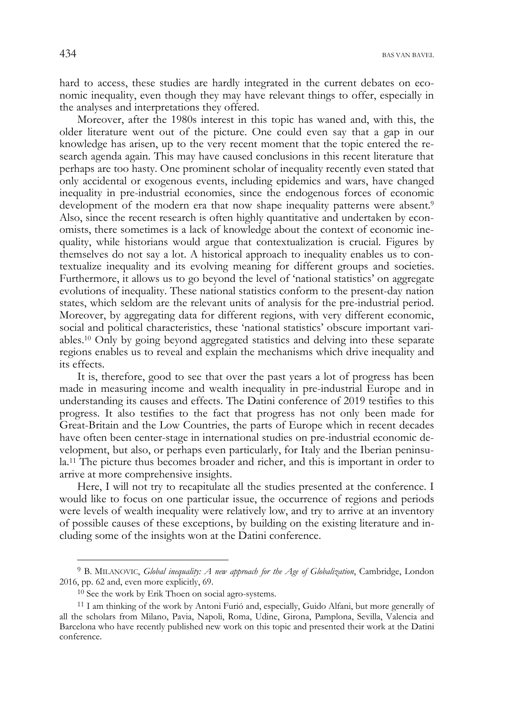434 BAS VAN BAVEL

hard to access, these studies are hardly integrated in the current debates on economic inequality, even though they may have relevant things to offer, especially in the analyses and interpretations they offered.

Moreover, after the 1980s interest in this topic has waned and, with this, the older literature went out of the picture. One could even say that a gap in our knowledge has arisen, up to the very recent moment that the topic entered the research agenda again. This may have caused conclusions in this recent literature that perhaps are too hasty. One prominent scholar of inequality recently even stated that only accidental or exogenous events, including epidemics and wars, have changed inequality in pre-industrial economies, since the endogenous forces of economic development of the modern era that now shape inequality patterns were absent.<sup>9</sup> Also, since the recent research is often highly quantitative and undertaken by economists, there sometimes is a lack of knowledge about the context of economic inequality, while historians would argue that contextualization is crucial. Figures by themselves do not say a lot. A historical approach to inequality enables us to contextualize inequality and its evolving meaning for different groups and societies. Furthermore, it allows us to go beyond the level of 'national statistics' on aggregate evolutions of inequality. These national statistics conform to the present-day nation states, which seldom are the relevant units of analysis for the pre-industrial period. Moreover, by aggregating data for different regions, with very different economic, social and political characteristics, these 'national statistics' obscure important variables.10 Only by going beyond aggregated statistics and delving into these separate regions enables us to reveal and explain the mechanisms which drive inequality and its effects.

It is, therefore, good to see that over the past years a lot of progress has been made in measuring income and wealth inequality in pre-industrial Europe and in understanding its causes and effects. The Datini conference of 2019 testifies to this progress. It also testifies to the fact that progress has not only been made for Great-Britain and the Low Countries, the parts of Europe which in recent decades have often been center-stage in international studies on pre-industrial economic development, but also, or perhaps even particularly, for Italy and the Iberian peninsula.11 The picture thus becomes broader and richer, and this is important in order to arrive at more comprehensive insights.

Here, I will not try to recapitulate all the studies presented at the conference. I would like to focus on one particular issue, the occurrence of regions and periods were levels of wealth inequality were relatively low, and try to arrive at an inventory of possible causes of these exceptions, by building on the existing literature and including some of the insights won at the Datini conference.

<sup>9</sup> B. MILANOVIC, *Global inequality: A new approach for the Age of Globalization*, Cambridge, London 2016, pp. 62 and, even more explicitly, 69.

 $10$  See the work by Erik Thoen on social agro-systems.

<sup>&</sup>lt;sup>11</sup> I am thinking of the work by Antoni Furió and, especially, Guido Alfani, but more generally of all the scholars from Milano, Pavia, Napoli, Roma, Udine, Girona, Pamplona, Sevilla, Valencia and Barcelona who have recently published new work on this topic and presented their work at the Datini conference.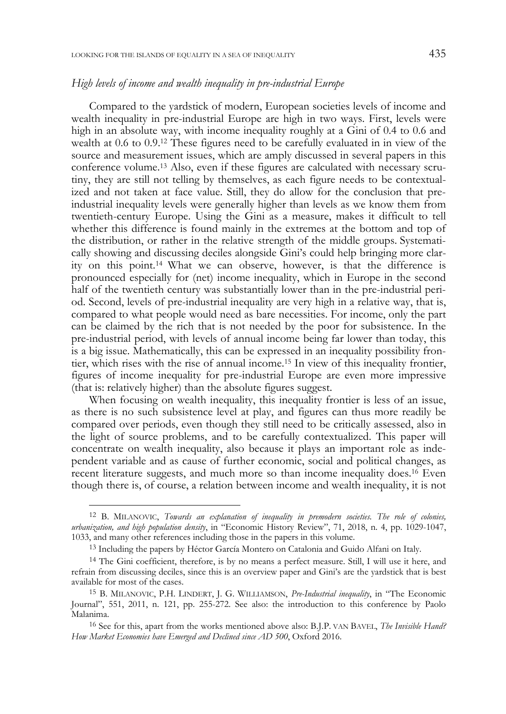Compared to the yardstick of modern, European societies levels of income and wealth inequality in pre-industrial Europe are high in two ways. First, levels were high in an absolute way, with income inequality roughly at a Gini of 0.4 to 0.6 and wealth at 0.6 to 0.9.12 These figures need to be carefully evaluated in in view of the source and measurement issues, which are amply discussed in several papers in this conference volume.13 Also, even if these figures are calculated with necessary scrutiny, they are still not telling by themselves, as each figure needs to be contextualized and not taken at face value. Still, they do allow for the conclusion that preindustrial inequality levels were generally higher than levels as we know them from twentieth-century Europe. Using the Gini as a measure, makes it difficult to tell whether this difference is found mainly in the extremes at the bottom and top of the distribution, or rather in the relative strength of the middle groups. Systematically showing and discussing deciles alongside Gini's could help bringing more clarity on this point.14 What we can observe, however, is that the difference is pronounced especially for (net) income inequality, which in Europe in the second half of the twentieth century was substantially lower than in the pre-industrial period. Second, levels of pre-industrial inequality are very high in a relative way, that is, compared to what people would need as bare necessities. For income, only the part can be claimed by the rich that is not needed by the poor for subsistence. In the pre-industrial period, with levels of annual income being far lower than today, this is a big issue. Mathematically, this can be expressed in an inequality possibility frontier, which rises with the rise of annual income.15 In view of this inequality frontier, figures of income inequality for pre-industrial Europe are even more impressive (that is: relatively higher) than the absolute figures suggest.

When focusing on wealth inequality, this inequality frontier is less of an issue, as there is no such subsistence level at play, and figures can thus more readily be compared over periods, even though they still need to be critically assessed, also in the light of source problems, and to be carefully contextualized. This paper will concentrate on wealth inequality, also because it plays an important role as independent variable and as cause of further economic, social and political changes, as recent literature suggests, and much more so than income inequality does.16 Even though there is, of course, a relation between income and wealth inequality, it is not

<sup>12</sup> B. MILANOVIC, *Towards an explanation of inequality in premodern societies. The role of colonies, urbanization, and high population density*, in "Economic History Review", 71, 2018, n. 4, pp. 1029-1047, 1033, and many other references including those in the papers in this volume.

<sup>13</sup> Including the papers by Héctor García Montero on Catalonia and Guido Alfani on Italy.

<sup>14</sup> The Gini coefficient, therefore, is by no means a perfect measure. Still, I will use it here, and refrain from discussing deciles, since this is an overview paper and Gini's are the yardstick that is best available for most of the cases.

<sup>15</sup> B. MILANOVIC, P.H. LINDERT, J. G. WILLIAMSON, *Pre-Industrial inequality*, in "The Economic Journal", 551, 2011, n. 121, pp. 255-272. See also: the introduction to this conference by Paolo Malanima.

<sup>16</sup> See for this, apart from the works mentioned above also: B.J.P. VAN BAVEL, *The Invisible Hand? How Market Economies have Emerged and Declined since AD 500*, Oxford 2016.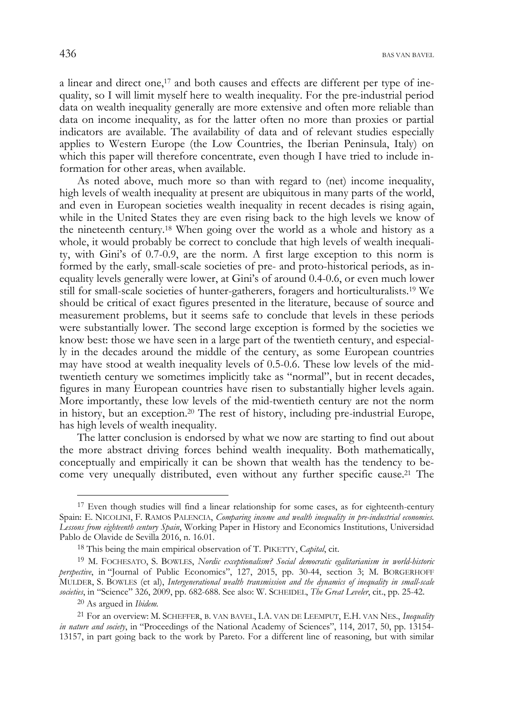$436$  Bas van Bavel.

a linear and direct one,17 and both causes and effects are different per type of inequality, so I will limit myself here to wealth inequality. For the pre-industrial period data on wealth inequality generally are more extensive and often more reliable than data on income inequality, as for the latter often no more than proxies or partial indicators are available. The availability of data and of relevant studies especially applies to Western Europe (the Low Countries, the Iberian Peninsula, Italy) on which this paper will therefore concentrate, even though I have tried to include information for other areas, when available.

As noted above, much more so than with regard to (net) income inequality, high levels of wealth inequality at present are ubiquitous in many parts of the world, and even in European societies wealth inequality in recent decades is rising again, while in the United States they are even rising back to the high levels we know of the nineteenth century.18 When going over the world as a whole and history as a whole, it would probably be correct to conclude that high levels of wealth inequality, with Gini's of 0.7-0.9, are the norm. A first large exception to this norm is formed by the early, small-scale societies of pre- and proto-historical periods, as inequality levels generally were lower, at Gini's of around 0.4-0.6, or even much lower still for small-scale societies of hunter-gatherers, foragers and horticulturalists.19 We should be critical of exact figures presented in the literature, because of source and measurement problems, but it seems safe to conclude that levels in these periods were substantially lower. The second large exception is formed by the societies we know best: those we have seen in a large part of the twentieth century, and especially in the decades around the middle of the century, as some European countries may have stood at wealth inequality levels of 0.5-0.6. These low levels of the midtwentieth century we sometimes implicitly take as "normal", but in recent decades, figures in many European countries have risen to substantially higher levels again. More importantly, these low levels of the mid-twentieth century are not the norm in history, but an exception.20 The rest of history, including pre-industrial Europe, has high levels of wealth inequality.

The latter conclusion is endorsed by what we now are starting to find out about the more abstract driving forces behind wealth inequality. Both mathematically, conceptually and empirically it can be shown that wealth has the tendency to become very unequally distributed, even without any further specific cause.21 The

 $17$  Even though studies will find a linear relationship for some cases, as for eighteenth-century Spain: E. NICOLINI, F. RAMOS PALENCIA, *Comparing income and wealth inequality in pre-industrial economies. Lessons from eighteenth century Spain*, Working Paper in History and Economics Institutions, Universidad Pablo de Olavide de Sevilla 2016, n. 16.01.

<sup>18</sup> This being the main empirical observation of T. PIKETTY, C*apital*, cit.

<sup>19</sup> M. FOCHESATO, S. BOWLES, *Nordic exceptionalism? Social democratic egalitarianism in world-historic perspective*, in "Journal of Public Economics", 127, 2015, pp. 30-44, section 3; M. BORGERHOFF MULDER, S. BOWLES (et al), *Intergenerational wealth transmission and the dynamics of inequality in small-scale societies*, in "Science" 326, 2009, pp. 682-688. See also: W. SCHEIDEL, *The Great Leveler*, cit., pp. 25-42.

<sup>20</sup> As argued in *Ibidem.* 

<sup>21</sup> For an overview: M. SCHEFFER, B. VAN BAVEL, I.A. VAN DE LEEMPUT, E.H. VAN NES., *Inequality in nature and society*, in "Proceedings of the National Academy of Sciences", 114, 2017, 50, pp. 13154- 13157, in part going back to the work by Pareto. For a different line of reasoning, but with similar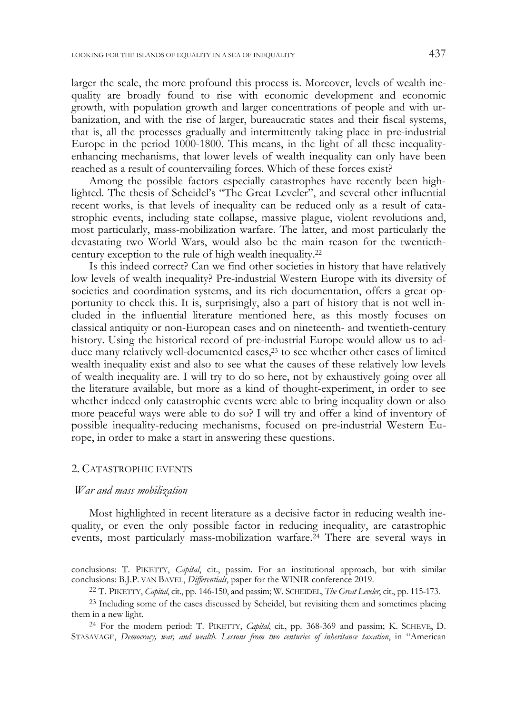larger the scale, the more profound this process is. Moreover, levels of wealth inequality are broadly found to rise with economic development and economic growth, with population growth and larger concentrations of people and with urbanization, and with the rise of larger, bureaucratic states and their fiscal systems, that is, all the processes gradually and intermittently taking place in pre-industrial Europe in the period 1000-1800. This means, in the light of all these inequalityenhancing mechanisms, that lower levels of wealth inequality can only have been reached as a result of countervailing forces. Which of these forces exist?

Among the possible factors especially catastrophes have recently been highlighted. The thesis of Scheidel's "The Great Leveler", and several other influential recent works, is that levels of inequality can be reduced only as a result of catastrophic events, including state collapse, massive plague, violent revolutions and, most particularly, mass-mobilization warfare. The latter, and most particularly the devastating two World Wars, would also be the main reason for the twentiethcentury exception to the rule of high wealth inequality.22

Is this indeed correct? Can we find other societies in history that have relatively low levels of wealth inequality? Pre-industrial Western Europe with its diversity of societies and coordination systems, and its rich documentation, offers a great opportunity to check this. It is, surprisingly, also a part of history that is not well included in the influential literature mentioned here, as this mostly focuses on classical antiquity or non-European cases and on nineteenth- and twentieth-century history. Using the historical record of pre-industrial Europe would allow us to adduce many relatively well-documented cases,23 to see whether other cases of limited wealth inequality exist and also to see what the causes of these relatively low levels of wealth inequality are. I will try to do so here, not by exhaustively going over all the literature available, but more as a kind of thought-experiment, in order to see whether indeed only catastrophic events were able to bring inequality down or also more peaceful ways were able to do so? I will try and offer a kind of inventory of possible inequality-reducing mechanisms, focused on pre-industrial Western Europe, in order to make a start in answering these questions.

### 2. CATASTROPHIC EVENTS

#### *War and mass mobilization*

Most highlighted in recent literature as a decisive factor in reducing wealth inequality, or even the only possible factor in reducing inequality, are catastrophic events, most particularly mass-mobilization warfare.24 There are several ways in

conclusions: T. PIKETTY, *Capital*, cit., passim. For an institutional approach, but with similar conclusions: B.J.P. VAN BAVEL, *Differentials*, paper for the WINIR conference 2019. 22 T. PIKETTY, *Capital*, cit., pp. 146-150, and passim; W. SCHEIDEL, *The Great Leveler*, cit., pp. 115-173.

<sup>23</sup> Including some of the cases discussed by Scheidel, but revisiting them and sometimes placing them in a new light.

<sup>24</sup> For the modern period: T. PIKETTY, *Capital*, cit., pp. 368-369 and passim; K. SCHEVE, D. STASAVAGE, *Democracy, war, and wealth. Lessons from two centuries of inheritance taxation*, in "American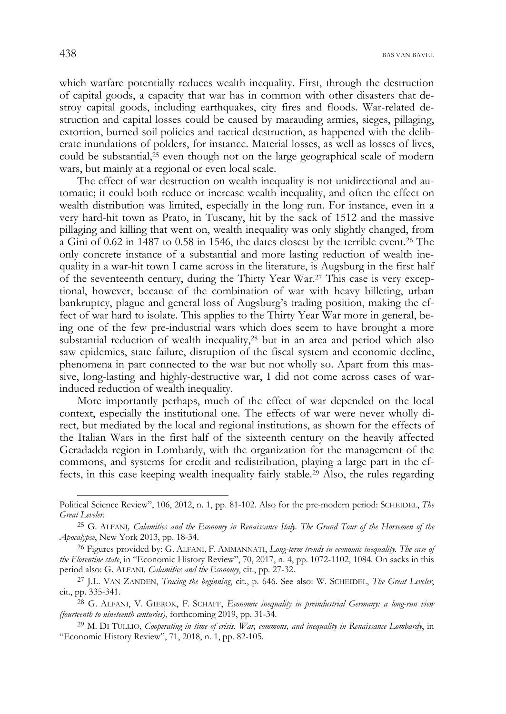which warfare potentially reduces wealth inequality. First, through the destruction of capital goods, a capacity that war has in common with other disasters that destroy capital goods, including earthquakes, city fires and floods. War-related destruction and capital losses could be caused by marauding armies, sieges, pillaging, extortion, burned soil policies and tactical destruction, as happened with the deliberate inundations of polders, for instance. Material losses, as well as losses of lives, could be substantial, $25$  even though not on the large geographical scale of modern wars, but mainly at a regional or even local scale.

The effect of war destruction on wealth inequality is not unidirectional and automatic; it could both reduce or increase wealth inequality, and often the effect on wealth distribution was limited, especially in the long run. For instance, even in a very hard-hit town as Prato, in Tuscany, hit by the sack of 1512 and the massive pillaging and killing that went on, wealth inequality was only slightly changed, from a Gini of 0.62 in 1487 to 0.58 in 1546, the dates closest by the terrible event.26 The only concrete instance of a substantial and more lasting reduction of wealth inequality in a war-hit town I came across in the literature, is Augsburg in the first half of the seventeenth century, during the Thirty Year War.27 This case is very exceptional, however, because of the combination of war with heavy billeting, urban bankruptcy, plague and general loss of Augsburg's trading position, making the effect of war hard to isolate. This applies to the Thirty Year War more in general, being one of the few pre-industrial wars which does seem to have brought a more substantial reduction of wealth inequality,28 but in an area and period which also saw epidemics, state failure, disruption of the fiscal system and economic decline, phenomena in part connected to the war but not wholly so. Apart from this massive, long-lasting and highly-destructive war, I did not come across cases of warinduced reduction of wealth inequality.

More importantly perhaps, much of the effect of war depended on the local context, especially the institutional one. The effects of war were never wholly direct, but mediated by the local and regional institutions, as shown for the effects of the Italian Wars in the first half of the sixteenth century on the heavily affected Geradadda region in Lombardy, with the organization for the management of the commons, and systems for credit and redistribution, playing a large part in the effects, in this case keeping wealth inequality fairly stable.29 Also, the rules regarding

Political Science Review", 106, 2012, n. 1, pp. 81-102. Also for the pre-modern period: SCHEIDEL, *The* 

*Great Leveler*. 25 G. ALFANI*, Calamities and the Economy in Renaissance Italy. The Grand Tour of the Horsemen of the Apocalypse*, New York 2013, pp. 18-34.

<sup>26</sup> Figures provided by: G. ALFANI, F. AMMANNATI, *Long-term trends in economic inequality. The case of the Florentine state*, in "Economic History Review", 70, 2017, n. 4, pp. 1072-1102, 1084. On sacks in this period also: G. ALFANI*, Calamities and the Economy*, cit., pp. 27-32.

<sup>27</sup> J.L. VAN ZANDEN, *Tracing the beginning*, cit., p. 646. See also: W. SCHEIDEL, *The Great Leveler*, cit., pp. 335-341.

<sup>28</sup> G. ALFANI, V. GIEROK, F. SCHAFF, *Economic inequality in preindustrial Germany: a long-run view (fourteenth to nineteenth centuries)*, forthcoming 2019, pp. 31-34.

<sup>29</sup> M. DI TULLIO, *Cooperating in time of crisis. War, commons, and inequality in Renaissance Lombardy*, in "Economic History Review", 71, 2018, n. 1, pp. 82-105.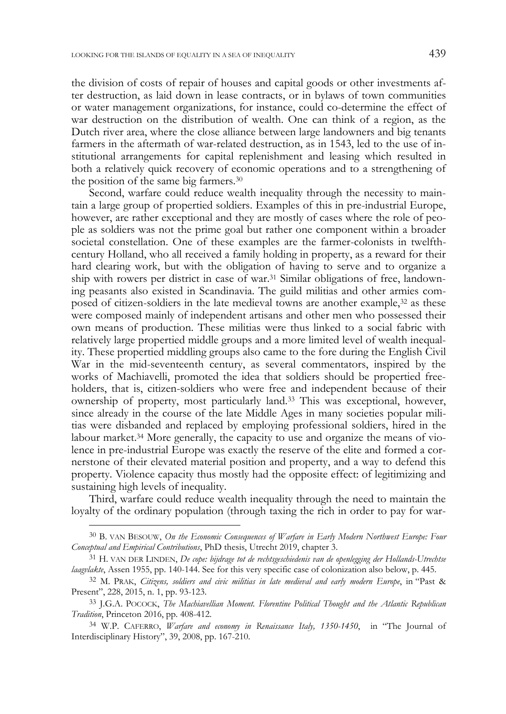the division of costs of repair of houses and capital goods or other investments after destruction, as laid down in lease contracts, or in bylaws of town communities or water management organizations, for instance, could co-determine the effect of war destruction on the distribution of wealth. One can think of a region, as the Dutch river area, where the close alliance between large landowners and big tenants farmers in the aftermath of war-related destruction, as in 1543, led to the use of institutional arrangements for capital replenishment and leasing which resulted in both a relatively quick recovery of economic operations and to a strengthening of the position of the same big farmers.30

Second, warfare could reduce wealth inequality through the necessity to maintain a large group of propertied soldiers. Examples of this in pre-industrial Europe, however, are rather exceptional and they are mostly of cases where the role of people as soldiers was not the prime goal but rather one component within a broader societal constellation. One of these examples are the farmer-colonists in twelfthcentury Holland, who all received a family holding in property, as a reward for their hard clearing work, but with the obligation of having to serve and to organize a ship with rowers per district in case of war.31 Similar obligations of free, landowning peasants also existed in Scandinavia. The guild militias and other armies composed of citizen-soldiers in the late medieval towns are another example,32 as these were composed mainly of independent artisans and other men who possessed their own means of production. These militias were thus linked to a social fabric with relatively large propertied middle groups and a more limited level of wealth inequality. These propertied middling groups also came to the fore during the English Civil War in the mid-seventeenth century, as several commentators, inspired by the works of Machiavelli, promoted the idea that soldiers should be propertied freeholders, that is, citizen-soldiers who were free and independent because of their ownership of property, most particularly land.33 This was exceptional, however, since already in the course of the late Middle Ages in many societies popular militias were disbanded and replaced by employing professional soldiers, hired in the labour market.34 More generally, the capacity to use and organize the means of violence in pre-industrial Europe was exactly the reserve of the elite and formed a cornerstone of their elevated material position and property, and a way to defend this property. Violence capacity thus mostly had the opposite effect: of legitimizing and sustaining high levels of inequality.

Third, warfare could reduce wealth inequality through the need to maintain the loyalty of the ordinary population (through taxing the rich in order to pay for war-

<sup>30</sup> B. VAN BESOUW, *On the Economic Consequences of Warfare in Early Modern Northwest Europe: Four Conceptual and Empirical Contributions*, PhD thesis, Utrecht 2019, chapter 3.

<sup>31</sup> H. VAN DER LINDEN, *De cope: bijdrage tot de rechtsgeschiedenis van de openlegging der Hollands-Utrechtse laagvlakte*, Assen 1955, pp. 140-144. See for this very specific case of colonization also below, p. 445.

<sup>32</sup> M. PRAK, *Citizens, soldiers and civic militias in late medieval and early modern Europe*, in "Past & Present", 228, 2015, n. 1, pp. 93-123.

<sup>33</sup> J.G.A. POCOCK, *The Machiavellian Moment. Florentine Political Thought and the Atlantic Republican Tradition*, Princeton 2016, pp. 408-412.

<sup>34</sup> W.P. CAFERRO, *Warfare and economy in Renaissance Italy, 1350-1450*, in "The Journal of Interdisciplinary History", 39, 2008, pp. 167-210.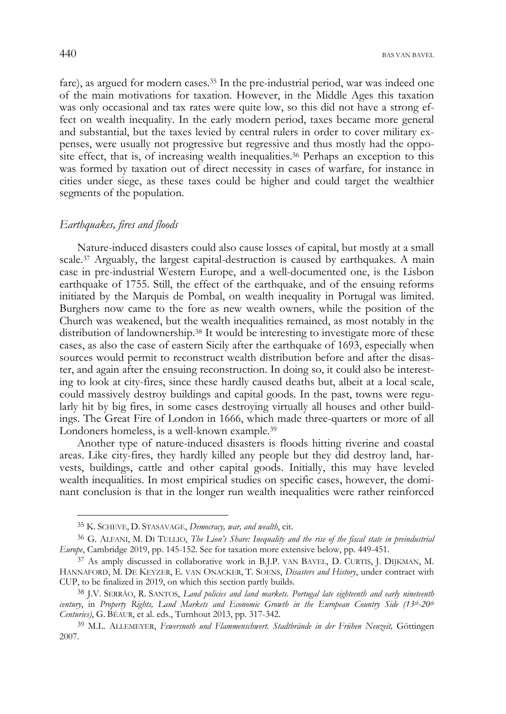fare), as argued for modern cases.<sup>35</sup> In the pre-industrial period, war was indeed one of the main motivations for taxation. However, in the Middle Ages this taxation was only occasional and tax rates were quite low, so this did not have a strong effect on wealth inequality. In the early modern period, taxes became more general and substantial, but the taxes levied by central rulers in order to cover military expenses, were usually not progressive but regressive and thus mostly had the opposite effect, that is, of increasing wealth inequalities.<sup>36</sup> Perhaps an exception to this was formed by taxation out of direct necessity in cases of warfare, for instance in cities under siege, as these taxes could be higher and could target the wealthier segments of the population.

## *Earthquakes, fires and floods*

Nature-induced disasters could also cause losses of capital, but mostly at a small scale.<sup>37</sup> Arguably, the largest capital-destruction is caused by earthquakes. A main case in pre-industrial Western Europe, and a well-documented one, is the Lisbon earthquake of 1755. Still, the effect of the earthquake, and of the ensuing reforms initiated by the Marquis de Pombal, on wealth inequality in Portugal was limited. Burghers now came to the fore as new wealth owners, while the position of the Church was weakened, but the wealth inequalities remained, as most notably in the distribution of landownership.<sup>38</sup> It would be interesting to investigate more of these cases, as also the case of eastern Sicily after the earthquake of 1693, especially when sources would permit to reconstruct wealth distribution before and after the disaster, and again after the ensuing reconstruction. In doing so, it could also be interesting to look at city-fires, since these hardly caused deaths but, albeit at a local scale, could massively destroy buildings and capital goods. In the past, towns were regularly hit by big fires, in some cases destroying virtually all houses and other buildings. The Great Fire of London in 1666, which made three-quarters or more of all Londoners homeless, is a well-known example.39

Another type of nature-induced disasters is floods hitting riverine and coastal areas. Like city-fires, they hardly killed any people but they did destroy land, harvests, buildings, cattle and other capital goods. Initially, this may have leveled wealth inequalities. In most empirical studies on specific cases, however, the dominant conclusion is that in the longer run wealth inequalities were rather reinforced

<sup>35</sup> K. SCHEVE, D. STASAVAGE, *Democracy, war, and wealth*, cit.

<sup>36</sup> G. ALFANI, M. DI TULLIO, *The Lion's Share: Inequality and the rise of the fiscal state in preindustrial Europe*, Cambridge 2019, pp. 145-152. See for taxation more extensive below, pp. 449-451.

<sup>37</sup> As amply discussed in collaborative work in B.J.P. VAN BAVEL, D. CURTIS, J. DIJKMAN, M. HANNAFORD, M. DE KEYZER, E. VAN ONACKER, T. SOENS, *Disasters and History*, under contract with CUP, to be finalized in 2019, on which this section partly builds.

<sup>38</sup> J.V. SERRÃO, R. SANTOS, *Land policies and land markets. Portugal late eighteenth and early nineteenth century*, in *Property Rights, Land Markets and Economic Growth in the European Country Side (13th-20th Centuries)*, G. BÉAUR, et al. eds., Turnhout 2013, pp. 317-342.

<sup>39</sup> M.L. ALLEMEYER, *Fewersnoth und Flammenschwert. Stadtbrände in der Frühen Neuzeit,* Göttingen 2007.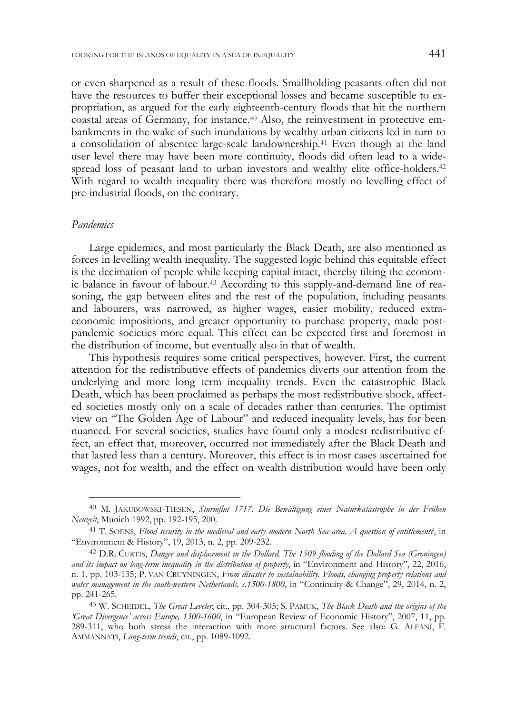or even sharpened as a result of these floods. Smallholding peasants often did not have the resources to buffer their exceptional losses and became susceptible to expropriation, as argued for the early eighteenth-century floods that hit the northern coastal areas of Germany, for instance.40 Also, the reinvestment in protective embankments in the wake of such inundations by wealthy urban citizens led in turn to a consolidation of absentee large-scale landownership.41 Even though at the land user level there may have been more continuity, floods did often lead to a widespread loss of peasant land to urban investors and wealthy elite office-holders.42 With regard to wealth inequality there was therefore mostly no levelling effect of pre-industrial floods, on the contrary.

## *Pandemics*

Large epidemics, and most particularly the Black Death, are also mentioned as forces in levelling wealth inequality. The suggested logic behind this equitable effect is the decimation of people while keeping capital intact, thereby tilting the economic balance in favour of labour.43 According to this supply-and-demand line of reasoning, the gap between elites and the rest of the population, including peasants and labourers, was narrowed, as higher wages, easier mobility, reduced extraeconomic impositions, and greater opportunity to purchase property, made postpandemic societies more equal. This effect can be expected first and foremost in the distribution of income, but eventually also in that of wealth.

This hypothesis requires some critical perspectives, however. First, the current attention for the redistributive effects of pandemics diverts our attention from the underlying and more long term inequality trends. Even the catastrophic Black Death, which has been proclaimed as perhaps the most redistributive shock, affected societies mostly only on a scale of decades rather than centuries. The optimist view on "The Golden Age of Labour" and reduced inequality levels, has for been nuanced. For several societies, studies have found only a modest redistributive effect, an effect that, moreover, occurred not immediately after the Black Death and that lasted less than a century. Moreover, this effect is in most cases ascertained for wages, not for wealth, and the effect on wealth distribution would have been only

<sup>40</sup> M. JAKUBOWSKI-TIESEN, *Sturmflut 1717. Die Bewältigung einer Naturkatastrophe in der Frühen Neuzeit*, Munich 1992, pp. 192-195, 200.

<sup>41</sup> T. SOENS, *Flood security in the medieval and early modern North Sea area. A question of entitlement?*, in "Environment & History", 19, 2013, n. 2, pp. 209-232.

<sup>42</sup> D.R. CURTIS, *Danger and displacement in the Dollard. The 1509 flooding of the Dollard Sea (Groningen) and its impact on long-term inequality in the distribution of property*, in "Environment and History", 22, 2016, n. 1, pp. 103-135; P. VAN CRUYNINGEN, *From disaster to sustainability. Floods, changing property relations and water management in the south-western Netherlands, c.1500-1800*, in "Continuity & Change", 29, 2014, n. 2, pp. 241-265.

<sup>43</sup> W. SCHEIDEL, *The Great Leveler*, cit., pp. 304-305; S. PAMUK, *The Black Death and the origins of the 'Great Divergence' across Europe, 1300-1600*, in "European Review of Economic History", 2007, 11, pp. 289-311, who both stress the interaction with more structural factors. See also: G. ALFANI, F. AMMANNATI, *Long-term trends*, cit., pp. 1089-1092.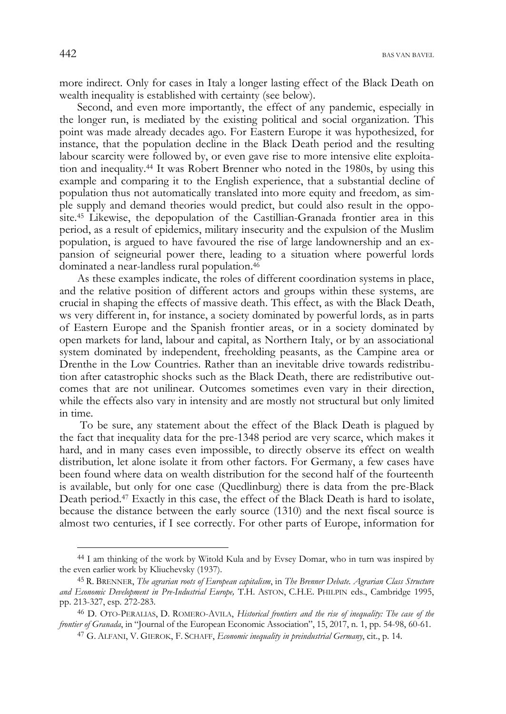more indirect. Only for cases in Italy a longer lasting effect of the Black Death on wealth inequality is established with certainty (see below).

Second, and even more importantly, the effect of any pandemic, especially in the longer run, is mediated by the existing political and social organization. This point was made already decades ago. For Eastern Europe it was hypothesized, for instance, that the population decline in the Black Death period and the resulting labour scarcity were followed by, or even gave rise to more intensive elite exploitation and inequality.44 It was Robert Brenner who noted in the 1980s, by using this example and comparing it to the English experience, that a substantial decline of population thus not automatically translated into more equity and freedom, as simple supply and demand theories would predict, but could also result in the opposite.45 Likewise, the depopulation of the Castillian-Granada frontier area in this period, as a result of epidemics, military insecurity and the expulsion of the Muslim population, is argued to have favoured the rise of large landownership and an expansion of seigneurial power there, leading to a situation where powerful lords dominated a near-landless rural population.46

As these examples indicate, the roles of different coordination systems in place, and the relative position of different actors and groups within these systems, are crucial in shaping the effects of massive death. This effect, as with the Black Death, ws very different in, for instance, a society dominated by powerful lords, as in parts of Eastern Europe and the Spanish frontier areas, or in a society dominated by open markets for land, labour and capital, as Northern Italy, or by an associational system dominated by independent, freeholding peasants, as the Campine area or Drenthe in the Low Countries. Rather than an inevitable drive towards redistribution after catastrophic shocks such as the Black Death, there are redistributive outcomes that are not unilinear. Outcomes sometimes even vary in their direction, while the effects also vary in intensity and are mostly not structural but only limited in time.

 To be sure, any statement about the effect of the Black Death is plagued by the fact that inequality data for the pre-1348 period are very scarce, which makes it hard, and in many cases even impossible, to directly observe its effect on wealth distribution, let alone isolate it from other factors. For Germany, a few cases have been found where data on wealth distribution for the second half of the fourteenth is available, but only for one case (Quedlinburg) there is data from the pre-Black Death period.47 Exactly in this case, the effect of the Black Death is hard to isolate, because the distance between the early source (1310) and the next fiscal source is almost two centuries, if I see correctly. For other parts of Europe, information for

<sup>44</sup> I am thinking of the work by Witold Kula and by Evsey Domar, who in turn was inspired by the even earlier work by Kliuchevsky (1937).

<sup>45</sup> R. BRENNER, *The agrarian roots of European capitalism*, in *The Brenner Debate. Agrarian Class Structure and Economic Development in Pre-Industrial Europe,* T.H. ASTON, C.H.E. PHILPIN eds., Cambridge 1995, pp. 213-327, esp. 272-283.

<sup>46</sup> D. OTO-PERALIAS, D. ROMERO-AVILA, *Historical frontiers and the rise of inequality: The case of the frontier of Granada*, in "Journal of the European Economic Association", 15, 2017, n. 1, pp. 54-98, 60-61.

<sup>47</sup> G. ALFANI, V. GIEROK, F. SCHAFF, *Economic inequality in preindustrial Germany*, cit., p. 14.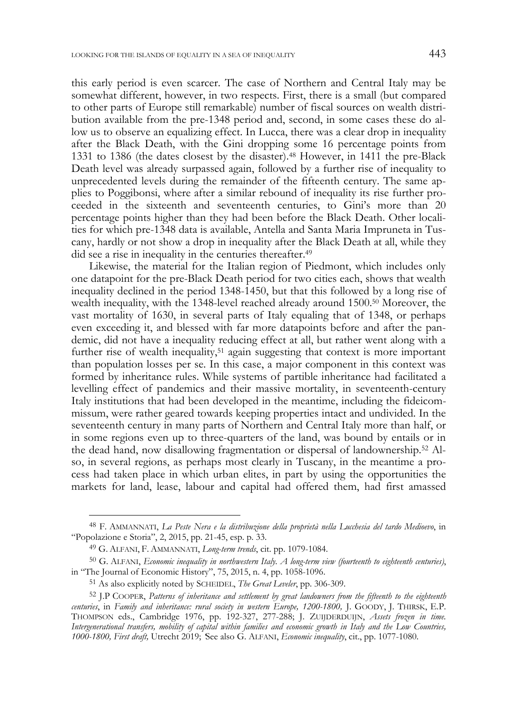this early period is even scarcer. The case of Northern and Central Italy may be somewhat different, however, in two respects. First, there is a small (but compared to other parts of Europe still remarkable) number of fiscal sources on wealth distribution available from the pre-1348 period and, second, in some cases these do allow us to observe an equalizing effect. In Lucca, there was a clear drop in inequality after the Black Death, with the Gini dropping some 16 percentage points from 1331 to 1386 (the dates closest by the disaster).48 However, in 1411 the pre-Black Death level was already surpassed again, followed by a further rise of inequality to unprecedented levels during the remainder of the fifteenth century. The same applies to Poggibonsi, where after a similar rebound of inequality its rise further proceeded in the sixteenth and seventeenth centuries, to Gini's more than 20 percentage points higher than they had been before the Black Death. Other localities for which pre-1348 data is available, Antella and Santa Maria Impruneta in Tuscany, hardly or not show a drop in inequality after the Black Death at all, while they did see a rise in inequality in the centuries thereafter.<sup>49</sup>

Likewise, the material for the Italian region of Piedmont, which includes only one datapoint for the pre-Black Death period for two cities each, shows that wealth inequality declined in the period 1348-1450, but that this followed by a long rise of wealth inequality, with the 1348-level reached already around 1500.50 Moreover, the vast mortality of 1630, in several parts of Italy equaling that of 1348, or perhaps even exceeding it, and blessed with far more datapoints before and after the pandemic, did not have a inequality reducing effect at all, but rather went along with a further rise of wealth inequality,<sup>51</sup> again suggesting that context is more important than population losses per se. In this case, a major component in this context was formed by inheritance rules. While systems of partible inheritance had facilitated a levelling effect of pandemics and their massive mortality, in seventeenth-century Italy institutions that had been developed in the meantime, including the fideicommissum, were rather geared towards keeping properties intact and undivided. In the seventeenth century in many parts of Northern and Central Italy more than half, or in some regions even up to three-quarters of the land, was bound by entails or in the dead hand, now disallowing fragmentation or dispersal of landownership.52 Also, in several regions, as perhaps most clearly in Tuscany, in the meantime a process had taken place in which urban elites, in part by using the opportunities the markets for land, lease, labour and capital had offered them, had first amassed

<sup>48</sup> F. AMMANNATI, *La Peste Nera e la distribuzione della proprietà nella Lucchesia del tardo Medioevo*, in "Popolazione e Storia", 2, 2015, pp. 21-45, esp. p. 33.

<sup>49</sup> G. ALFANI, F. AMMANNATI, *Long-term trends*, cit. pp. 1079-1084.

<sup>50</sup> G. ALFANI, *Economic inequality in northwestern Italy. A long-term view (fourteenth to eighteenth centuries)*, in "The Journal of Economic History", 75, 2015, n. 4, pp. 1058-1096.

<sup>51</sup> As also explicitly noted by SCHEIDEL, *The Great Leveler*, pp. 306-309.

<sup>52</sup> J.P COOPER, *Patterns of inheritance and settlement by great landowners from the fifteenth to the eighteenth centuries*, in *Family and inheritance: rural society in western Europe, 1200-1800,* J. GOODY, J. THIRSK, E.P. THOMPSON eds., Cambridge 1976, pp. 192-327, 277-288; J. ZUIJDERDUIJN, *Assets frozen in time. Intergenerational transfers, mobility of capital within families and economic growth in Italy and the Low Countries, 1000-1800, First draft,* Utrecht 2019; *'*See also G. ALFANI, *Economic inequality*, cit., pp. 1077-1080.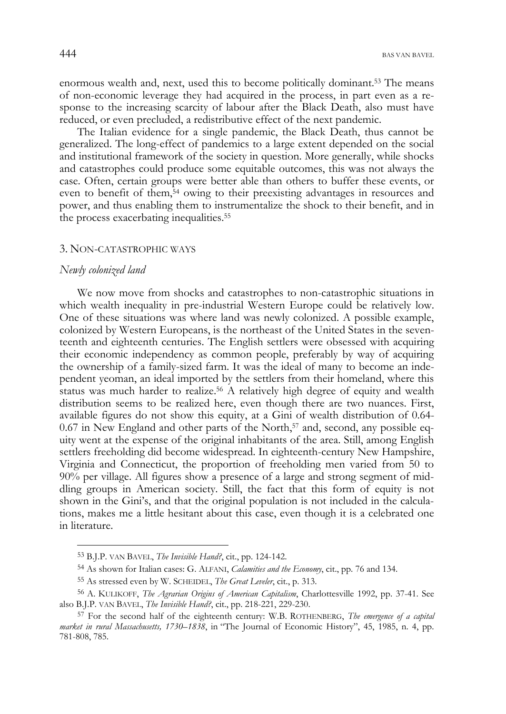enormous wealth and, next, used this to become politically dominant.53 The means of non-economic leverage they had acquired in the process, in part even as a response to the increasing scarcity of labour after the Black Death, also must have reduced, or even precluded, a redistributive effect of the next pandemic.

The Italian evidence for a single pandemic, the Black Death, thus cannot be generalized. The long-effect of pandemics to a large extent depended on the social and institutional framework of the society in question. More generally, while shocks and catastrophes could produce some equitable outcomes, this was not always the case. Often, certain groups were better able than others to buffer these events, or even to benefit of them,54 owing to their preexisting advantages in resources and power, and thus enabling them to instrumentalize the shock to their benefit, and in the process exacerbating inequalities.55

### 3. NON-CATASTROPHIC WAYS

#### *Newly colonized land*

We now move from shocks and catastrophes to non-catastrophic situations in which wealth inequality in pre-industrial Western Europe could be relatively low. One of these situations was where land was newly colonized. A possible example, colonized by Western Europeans, is the northeast of the United States in the seventeenth and eighteenth centuries. The English settlers were obsessed with acquiring their economic independency as common people, preferably by way of acquiring the ownership of a family-sized farm. It was the ideal of many to become an independent yeoman, an ideal imported by the settlers from their homeland, where this status was much harder to realize.56 A relatively high degree of equity and wealth distribution seems to be realized here, even though there are two nuances. First, available figures do not show this equity, at a Gini of wealth distribution of 0.64- 0.67 in New England and other parts of the North,<sup>57</sup> and, second, any possible equity went at the expense of the original inhabitants of the area. Still, among English settlers freeholding did become widespread. In eighteenth-century New Hampshire, Virginia and Connecticut, the proportion of freeholding men varied from 50 to 90% per village. All figures show a presence of a large and strong segment of middling groups in American society. Still, the fact that this form of equity is not shown in the Gini's, and that the original population is not included in the calculations, makes me a little hesitant about this case, even though it is a celebrated one in literature.

<sup>53</sup> B.J.P. VAN BAVEL, *The Invisible Hand?*, cit., pp. 124-142.

<sup>54</sup> As shown for Italian cases: G. ALFANI, *Calamities and the Economy*, cit., pp. 76 and 134.

<sup>55</sup> As stressed even by W. SCHEIDEL, *The Great Leveler*, cit., p. 313.

<sup>56</sup> A. KULIKOFF, *The Agrarian Origins of American Capitalism*, Charlottesville 1992, pp. 37-41. See also B.J.P. VAN BAVEL, *The Invisible Hand?*, cit., pp. 218-221, 229-230.

<sup>57</sup> For the second half of the eighteenth century: W.B. ROTHENBERG, *The emergence of a capital market in rural Massachusetts, 1730–1838*, in "The Journal of Economic History", 45, 1985, n. 4, pp. 781-808, 785.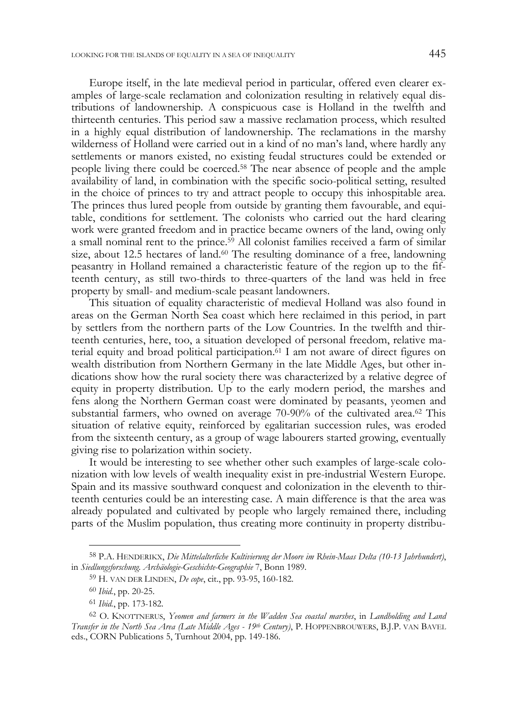Europe itself, in the late medieval period in particular, offered even clearer examples of large-scale reclamation and colonization resulting in relatively equal distributions of landownership. A conspicuous case is Holland in the twelfth and thirteenth centuries. This period saw a massive reclamation process, which resulted in a highly equal distribution of landownership. The reclamations in the marshy wilderness of Holland were carried out in a kind of no man's land, where hardly any settlements or manors existed, no existing feudal structures could be extended or people living there could be coerced.58 The near absence of people and the ample availability of land, in combination with the specific socio-political setting, resulted in the choice of princes to try and attract people to occupy this inhospitable area. The princes thus lured people from outside by granting them favourable, and equitable, conditions for settlement. The colonists who carried out the hard clearing work were granted freedom and in practice became owners of the land, owing only a small nominal rent to the prince.59 All colonist families received a farm of similar size, about 12.5 hectares of land. $60$  The resulting dominance of a free, landowning peasantry in Holland remained a characteristic feature of the region up to the fifteenth century, as still two-thirds to three-quarters of the land was held in free property by small- and medium-scale peasant landowners.

This situation of equality characteristic of medieval Holland was also found in areas on the German North Sea coast which here reclaimed in this period, in part by settlers from the northern parts of the Low Countries. In the twelfth and thirteenth centuries, here, too, a situation developed of personal freedom, relative material equity and broad political participation.61 I am not aware of direct figures on wealth distribution from Northern Germany in the late Middle Ages, but other indications show how the rural society there was characterized by a relative degree of equity in property distribution. Up to the early modern period, the marshes and fens along the Northern German coast were dominated by peasants, yeomen and substantial farmers, who owned on average 70-90% of the cultivated area.62 This situation of relative equity, reinforced by egalitarian succession rules, was eroded from the sixteenth century, as a group of wage labourers started growing, eventually giving rise to polarization within society.

It would be interesting to see whether other such examples of large-scale colonization with low levels of wealth inequality exist in pre-industrial Western Europe. Spain and its massive southward conquest and colonization in the eleventh to thirteenth centuries could be an interesting case. A main difference is that the area was already populated and cultivated by people who largely remained there, including parts of the Muslim population, thus creating more continuity in property distribu-

<sup>58</sup> P.A. HENDERIKX, *Die Mittelalterliche Kultivierung der Moore im Rhein-Maas Delta (10-13 Jahrhundert)*, in *Siedlungsforschung. Archäologie-Geschichte-Geographie* 7, Bonn 1989.

<sup>59</sup> H. VAN DER LINDEN, *De cope*, cit., pp. 93-95, 160-182.

<sup>60</sup> *Ibid.*, pp. 20-25.

<sup>61</sup> *Ibid.*, pp. 173-182.

<sup>62</sup> O. KNOTTNERUS, *Yeomen and farmers in the Wadden Sea coastal marshes*, in *Landholding and Land Transfer in the North Sea Area (Late Middle Ages - 19th Century)*, P. HOPPENBROUWERS, B.J.P. VAN BAVEL eds., CORN Publications 5, Turnhout 2004, pp. 149-186.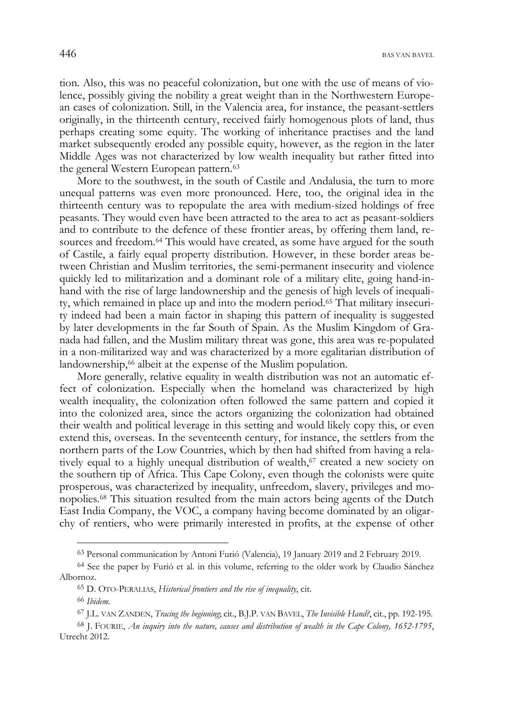tion. Also, this was no peaceful colonization, but one with the use of means of violence, possibly giving the nobility a great weight than in the Northwestern European cases of colonization. Still, in the Valencia area, for instance, the peasant-settlers originally, in the thirteenth century, received fairly homogenous plots of land, thus perhaps creating some equity. The working of inheritance practises and the land market subsequently eroded any possible equity, however, as the region in the later Middle Ages was not characterized by low wealth inequality but rather fitted into the general Western European pattern.<sup>63</sup>

More to the southwest, in the south of Castile and Andalusia, the turn to more unequal patterns was even more pronounced. Here, too, the original idea in the thirteenth century was to repopulate the area with medium-sized holdings of free peasants. They would even have been attracted to the area to act as peasant-soldiers and to contribute to the defence of these frontier areas, by offering them land, resources and freedom.<sup>64</sup> This would have created, as some have argued for the south of Castile, a fairly equal property distribution. However, in these border areas between Christian and Muslim territories, the semi-permanent insecurity and violence quickly led to militarization and a dominant role of a military elite, going hand-inhand with the rise of large landownership and the genesis of high levels of inequality, which remained in place up and into the modern period.65 That military insecurity indeed had been a main factor in shaping this pattern of inequality is suggested by later developments in the far South of Spain. As the Muslim Kingdom of Granada had fallen, and the Muslim military threat was gone, this area was re-populated in a non-militarized way and was characterized by a more egalitarian distribution of landownership,<sup>66</sup> albeit at the expense of the Muslim population.

More generally, relative equality in wealth distribution was not an automatic effect of colonization. Especially when the homeland was characterized by high wealth inequality, the colonization often followed the same pattern and copied it into the colonized area, since the actors organizing the colonization had obtained their wealth and political leverage in this setting and would likely copy this, or even extend this, overseas. In the seventeenth century, for instance, the settlers from the northern parts of the Low Countries, which by then had shifted from having a relatively equal to a highly unequal distribution of wealth,<sup>67</sup> created a new society on the southern tip of Africa. This Cape Colony, even though the colonists were quite prosperous, was characterized by inequality, unfreedom, slavery, privileges and monopolies.68 This situation resulted from the main actors being agents of the Dutch East India Company, the VOC, a company having become dominated by an oligarchy of rentiers, who were primarily interested in profits, at the expense of other

<sup>63</sup> Personal communication by Antoni Furió (Valencia), 19 January 2019 and 2 February 2019.

<sup>64</sup> See the paper by Furió et al. in this volume, referring to the older work by Claudio Sánchez Albornoz.

<sup>65</sup> D. OTO-PERALIAS, *Historical frontiers and the rise of inequality*, cit.

<sup>66</sup> *Ibidem.*

<sup>67</sup> J.L. VAN ZANDEN, *Tracing the beginning*; cit., B.J.P. VAN BAVEL, *The Invisible Hand?*, cit., pp. 192-195.

<sup>68</sup> J. FOURIE, *An inquiry into the nature, causes and distribution of wealth in the Cape Colony, 1652-1795*, Utrecht 2012.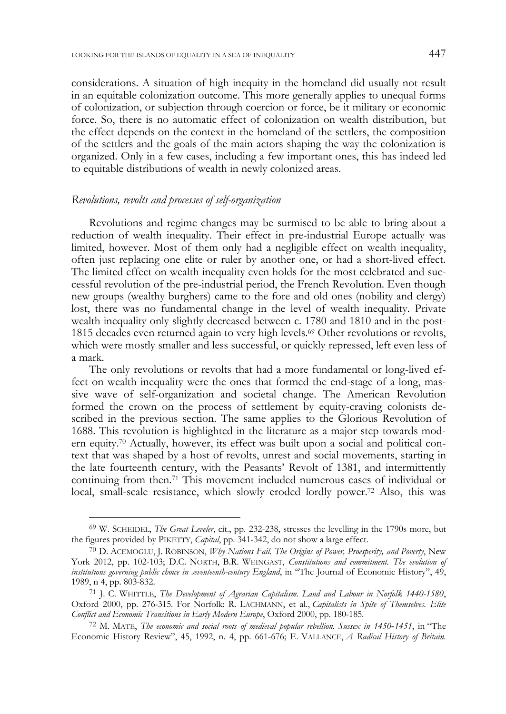considerations. A situation of high inequity in the homeland did usually not result in an equitable colonization outcome. This more generally applies to unequal forms of colonization, or subjection through coercion or force, be it military or economic force. So, there is no automatic effect of colonization on wealth distribution, but the effect depends on the context in the homeland of the settlers, the composition of the settlers and the goals of the main actors shaping the way the colonization is organized. Only in a few cases, including a few important ones, this has indeed led to equitable distributions of wealth in newly colonized areas.

### *Revolutions, revolts and processes of self-organization*

Revolutions and regime changes may be surmised to be able to bring about a reduction of wealth inequality. Their effect in pre-industrial Europe actually was limited, however. Most of them only had a negligible effect on wealth inequality, often just replacing one elite or ruler by another one, or had a short-lived effect. The limited effect on wealth inequality even holds for the most celebrated and successful revolution of the pre-industrial period, the French Revolution. Even though new groups (wealthy burghers) came to the fore and old ones (nobility and clergy) lost, there was no fundamental change in the level of wealth inequality. Private wealth inequality only slightly decreased between c. 1780 and 1810 and in the post-1815 decades even returned again to very high levels.69 Other revolutions or revolts, which were mostly smaller and less successful, or quickly repressed, left even less of a mark.

The only revolutions or revolts that had a more fundamental or long-lived effect on wealth inequality were the ones that formed the end-stage of a long, massive wave of self-organization and societal change. The American Revolution formed the crown on the process of settlement by equity-craving colonists described in the previous section. The same applies to the Glorious Revolution of 1688. This revolution is highlighted in the literature as a major step towards modern equity.70 Actually, however, its effect was built upon a social and political context that was shaped by a host of revolts, unrest and social movements, starting in the late fourteenth century, with the Peasants' Revolt of 1381, and intermittently continuing from then.71 This movement included numerous cases of individual or local, small-scale resistance, which slowly eroded lordly power.72 Also, this was

<sup>69</sup> W. SCHEIDEL, *The Great Leveler*, cit., pp. 232-238, stresses the levelling in the 1790s more, but the figures provided by PIKETTY, *Capital*, pp. 341-342, do not show a large effect.

<sup>70</sup> D. ACEMOGLU, J. ROBINSON, *Why Nations Fail. The Origins of Power, Proesperity, and Poverty*, New York 2012, pp. 102-103; D.C. NORTH, B.R. WEINGAST, *Constitutions and commitment. The evolution of institutions governing public choice in seventeenth-century England*, in "The Journal of Economic History", 49, 1989, n 4, pp. 803-832.

<sup>71</sup> J. C. WHITTLE, *The Development of Agrarian Capitalism. Land and Labour in Norfolk 1440-1580*, Oxford 2000, pp. 276-315. For Norfolk: R. LACHMANN, et al., *Capitalists in Spite of Themselves. Elite Conflict and Economic Transitions in Early Modern Europe*, Oxford 2000, pp. 180-185.

<sup>72</sup> M. MATE, *The economic and social roots of medieval popular rebellion. Sussex in 1450-1451*, in "The Economic History Review", 45, 1992, n. 4, pp. 661-676; E. VALLANCE, *A Radical History of Britain.*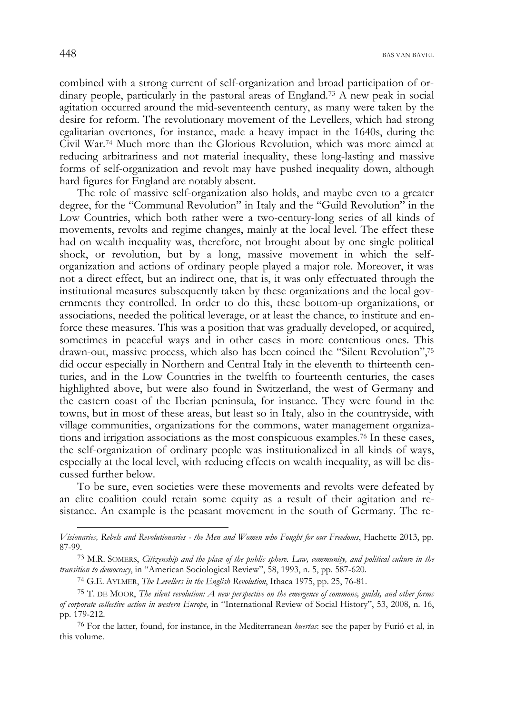combined with a strong current of self-organization and broad participation of ordinary people, particularly in the pastoral areas of England.<sup>73</sup> A new peak in social agitation occurred around the mid-seventeenth century, as many were taken by the desire for reform. The revolutionary movement of the Levellers, which had strong egalitarian overtones, for instance, made a heavy impact in the 1640s, during the Civil War.74 Much more than the Glorious Revolution, which was more aimed at reducing arbitrariness and not material inequality, these long-lasting and massive forms of self-organization and revolt may have pushed inequality down, although hard figures for England are notably absent.

The role of massive self-organization also holds, and maybe even to a greater degree, for the "Communal Revolution" in Italy and the "Guild Revolution" in the Low Countries, which both rather were a two-century-long series of all kinds of movements, revolts and regime changes, mainly at the local level. The effect these had on wealth inequality was, therefore, not brought about by one single political shock, or revolution, but by a long, massive movement in which the selforganization and actions of ordinary people played a major role. Moreover, it was not a direct effect, but an indirect one, that is, it was only effectuated through the institutional measures subsequently taken by these organizations and the local governments they controlled. In order to do this, these bottom-up organizations, or associations, needed the political leverage, or at least the chance, to institute and enforce these measures. This was a position that was gradually developed, or acquired, sometimes in peaceful ways and in other cases in more contentious ones. This drawn-out, massive process, which also has been coined the "Silent Revolution",75 did occur especially in Northern and Central Italy in the eleventh to thirteenth centuries, and in the Low Countries in the twelfth to fourteenth centuries, the cases highlighted above, but were also found in Switzerland, the west of Germany and the eastern coast of the Iberian peninsula, for instance. They were found in the towns, but in most of these areas, but least so in Italy, also in the countryside, with village communities, organizations for the commons, water management organizations and irrigation associations as the most conspicuous examples.76 In these cases, the self-organization of ordinary people was institutionalized in all kinds of ways, especially at the local level, with reducing effects on wealth inequality, as will be discussed further below.

To be sure, even societies were these movements and revolts were defeated by an elite coalition could retain some equity as a result of their agitation and resistance. An example is the peasant movement in the south of Germany. The re-

76 For the latter, found, for instance, in the Mediterranean *huertas*: see the paper by Furió et al, in this volume.

*Visionaries, Rebels and Revolutionaries - the Men and Women who Fought for our Freedoms*, Hachette 2013, pp. 87-99.

<sup>73</sup> M.R. SOMERS, *Citizenship and the place of the public sphere. Law, community, and political culture in the transition to democracy*, in "American Sociological Review", 58, 1993, n. 5, pp. 587-620.

<sup>74</sup> G.E. AYLMER, *The Levellers in the English Revolution*, Ithaca 1975, pp. 25, 76-81.

<sup>75</sup> T. DE MOOR, *The silent revolution: A new perspective on the emergence of commons, guilds, and other forms of corporate collective action in western Europe*, in "International Review of Social History", 53, 2008, n. 16, pp. 179-212.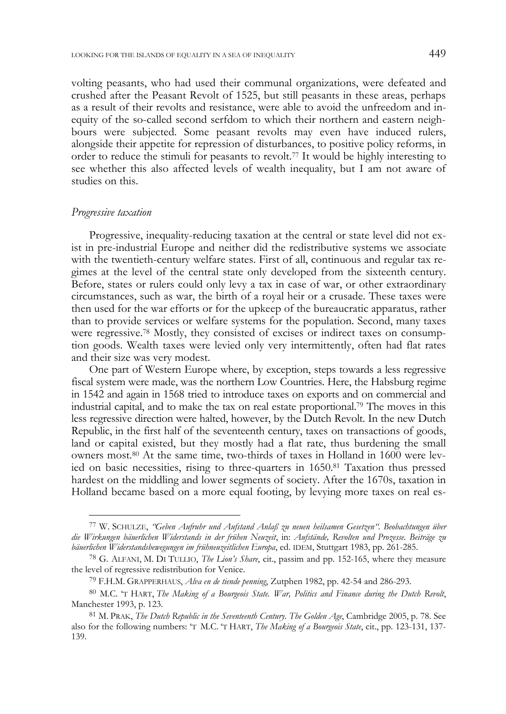volting peasants, who had used their communal organizations, were defeated and crushed after the Peasant Revolt of 1525, but still peasants in these areas, perhaps as a result of their revolts and resistance, were able to avoid the unfreedom and inequity of the so-called second serfdom to which their northern and eastern neighbours were subjected. Some peasant revolts may even have induced rulers, alongside their appetite for repression of disturbances, to positive policy reforms, in order to reduce the stimuli for peasants to revolt.77 It would be highly interesting to see whether this also affected levels of wealth inequality, but I am not aware of studies on this.

### *Progressive taxation*

Progressive, inequality-reducing taxation at the central or state level did not exist in pre-industrial Europe and neither did the redistributive systems we associate with the twentieth-century welfare states. First of all, continuous and regular tax regimes at the level of the central state only developed from the sixteenth century. Before, states or rulers could only levy a tax in case of war, or other extraordinary circumstances, such as war, the birth of a royal heir or a crusade. These taxes were then used for the war efforts or for the upkeep of the bureaucratic apparatus, rather than to provide services or welfare systems for the population. Second, many taxes were regressive.78 Mostly, they consisted of excises or indirect taxes on consumption goods. Wealth taxes were levied only very intermittently, often had flat rates and their size was very modest.

One part of Western Europe where, by exception, steps towards a less regressive fiscal system were made, was the northern Low Countries. Here, the Habsburg regime in 1542 and again in 1568 tried to introduce taxes on exports and on commercial and industrial capital, and to make the tax on real estate proportional.79 The moves in this less regressive direction were halted, however, by the Dutch Revolt. In the new Dutch Republic, in the first half of the seventeenth century, taxes on transactions of goods, land or capital existed, but they mostly had a flat rate, thus burdening the small owners most.80 At the same time, two-thirds of taxes in Holland in 1600 were levied on basic necessities, rising to three-quarters in 1650.81 Taxation thus pressed hardest on the middling and lower segments of society. After the 1670s, taxation in Holland became based on a more equal footing, by levying more taxes on real es-

<sup>77</sup> W. SCHULZE, *"Geben Aufruhr und Aufstand Anlaß zu neuen heilsamen Gesetzen". Beobachtungen über die Wirkungen bäuerlichen Widerstands in der frühen Neuzeit*, in: *Aufstände, Revolten und Prozesse. Beiträge zu bäuerlichen Widerstandsbewegungen im frühneuzeitlichen Europa*, ed. IDEM, Stuttgart 1983, pp. 261-285.

<sup>78</sup> G. ALFANI, M. DI TULLIO, *The Lion's Share*, cit., passim and pp. 152-165, where they measure the level of regressive redistribution for Venice.

<sup>79</sup> F.H.M. GRAPPERHAUS, *Alva en de tiende penning*, Zutphen 1982, pp. 42-54 and 286-293.

<sup>80</sup> M.C. 'T HART, *The Making of a Bourgeois State. War, Politics and Finance during the Dutch Revolt*, Manchester 1993, p. 123.

<sup>81</sup> M. PRAK, *The Dutch Republic in the Seventeenth Century. The Golden Age*, Cambridge 2005, p. 78. See also for the following numbers: 'T M.C. 'T HART, *The Making of a Bourgeois State*, cit., pp. 123-131, 137- 139.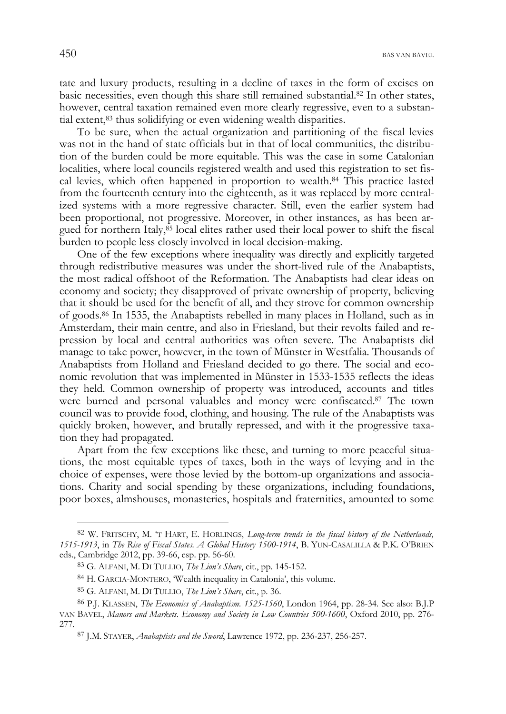$450$  BAS VAN BAVEL

tate and luxury products, resulting in a decline of taxes in the form of excises on basic necessities, even though this share still remained substantial.82 In other states, however, central taxation remained even more clearly regressive, even to a substantial extent,<sup>83</sup> thus solidifying or even widening wealth disparities.

To be sure, when the actual organization and partitioning of the fiscal levies was not in the hand of state officials but in that of local communities, the distribution of the burden could be more equitable. This was the case in some Catalonian localities, where local councils registered wealth and used this registration to set fiscal levies, which often happened in proportion to wealth.84 This practice lasted from the fourteenth century into the eighteenth, as it was replaced by more centralized systems with a more regressive character. Still, even the earlier system had been proportional, not progressive. Moreover, in other instances, as has been argued for northern Italy, $85$  local elites rather used their local power to shift the fiscal burden to people less closely involved in local decision-making.

One of the few exceptions where inequality was directly and explicitly targeted through redistributive measures was under the short-lived rule of the Anabaptists, the most radical offshoot of the Reformation. The Anabaptists had clear ideas on economy and society; they disapproved of private ownership of property, believing that it should be used for the benefit of all, and they strove for common ownership of goods.86 In 1535, the Anabaptists rebelled in many places in Holland, such as in Amsterdam, their main centre, and also in Friesland, but their revolts failed and repression by local and central authorities was often severe. The Anabaptists did manage to take power, however, in the town of Münster in Westfalia. Thousands of Anabaptists from Holland and Friesland decided to go there. The social and economic revolution that was implemented in Münster in 1533-1535 reflects the ideas they held. Common ownership of property was introduced, accounts and titles were burned and personal valuables and money were confiscated.<sup>87</sup> The town council was to provide food, clothing, and housing. The rule of the Anabaptists was quickly broken, however, and brutally repressed, and with it the progressive taxation they had propagated.

Apart from the few exceptions like these, and turning to more peaceful situations, the most equitable types of taxes, both in the ways of levying and in the choice of expenses, were those levied by the bottom-up organizations and associations. Charity and social spending by these organizations, including foundations, poor boxes, almshouses, monasteries, hospitals and fraternities, amounted to some

<sup>82</sup> W. FRITSCHY, M. 'T HART, E. HORLINGS, *Long-term trends in the fiscal history of the Netherlands, 1515-1913*, in *The Rise of Fiscal States. A Global History 1500-1914*, B. YUN-CASALILLA & P.K. O'BRIEN eds., Cambridge 2012, pp. 39-66, esp. pp. 56-60.

<sup>83</sup> G. ALFANI, M. DI TULLIO, *The Lion's Share*, cit., pp. 145-152.

<sup>84</sup> H. GARCIA-MONTERO, 'Wealth inequality in Catalonia', this volume.

<sup>85</sup> G. ALFANI, M. DI TULLIO, *The Lion's Share*, cit., p. 36.

<sup>86</sup> P.J. KLASSEN, *The Economics of Anabaptism. 1525-1560*, London 1964, pp. 28-34. See also: B.J.P VAN BAVEL, *Manors and Markets. Economy and Society in Low Countries 500-1600*, Oxford 2010, pp. 276- 277.

<sup>87</sup> J.M. STAYER, *Anabaptists and the Sword*, Lawrence 1972, pp. 236-237, 256-257.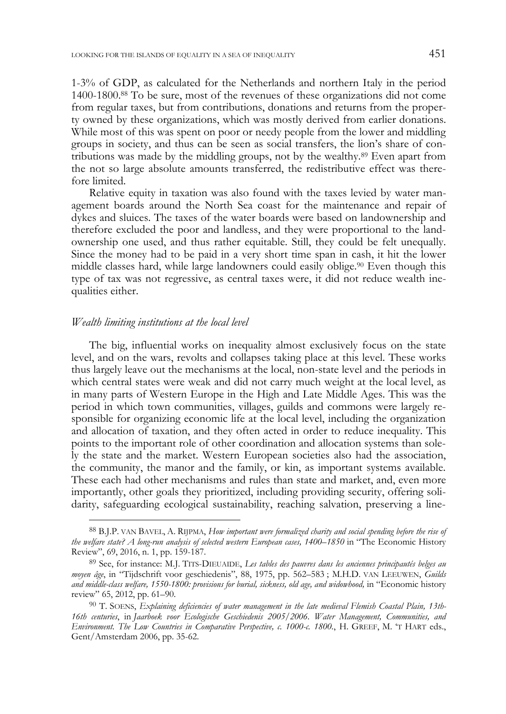1-3% of GDP, as calculated for the Netherlands and northern Italy in the period 1400-1800.88 To be sure, most of the revenues of these organizations did not come from regular taxes, but from contributions, donations and returns from the property owned by these organizations, which was mostly derived from earlier donations. While most of this was spent on poor or needy people from the lower and middling groups in society, and thus can be seen as social transfers, the lion's share of contributions was made by the middling groups, not by the wealthy.89 Even apart from the not so large absolute amounts transferred, the redistributive effect was therefore limited.

Relative equity in taxation was also found with the taxes levied by water management boards around the North Sea coast for the maintenance and repair of dykes and sluices. The taxes of the water boards were based on landownership and therefore excluded the poor and landless, and they were proportional to the landownership one used, and thus rather equitable. Still, they could be felt unequally. Since the money had to be paid in a very short time span in cash, it hit the lower middle classes hard, while large landowners could easily oblige.90 Even though this type of tax was not regressive, as central taxes were, it did not reduce wealth inequalities either.

#### *Wealth limiting institutions at the local level*

The big, influential works on inequality almost exclusively focus on the state level, and on the wars, revolts and collapses taking place at this level. These works thus largely leave out the mechanisms at the local, non-state level and the periods in which central states were weak and did not carry much weight at the local level, as in many parts of Western Europe in the High and Late Middle Ages. This was the period in which town communities, villages, guilds and commons were largely responsible for organizing economic life at the local level, including the organization and allocation of taxation, and they often acted in order to reduce inequality. This points to the important role of other coordination and allocation systems than solely the state and the market. Western European societies also had the association, the community, the manor and the family, or kin, as important systems available. These each had other mechanisms and rules than state and market, and, even more importantly, other goals they prioritized, including providing security, offering solidarity, safeguarding ecological sustainability, reaching salvation, preserving a line-

<sup>88</sup> B.J.P. VAN BAVEL, A. RIJPMA, *How important were formalized charity and social spending before the rise of the welfare state? A long-run analysis of selected western European cases, 1400–1850* in "The Economic History Review", 69, 2016, n. 1, pp. 159-187.

<sup>89</sup> See, for instance: M.J. TITS-DIEUAIDE, *Les tables des pauvres dans les anciennes principautés belges au moyen âge*, in "Tijdschrift voor geschiedenis", 88, 1975, pp. 562–583 ; M.H.D. VAN LEEUWEN, *Guilds and middle-class welfare, 1550-1800: provisions for burial, sickness, old age, and widowhood,* in "Economic history review" 65, 2012, pp. 61–90.

<sup>90</sup> T. SOENS, *Explaining deficiencies of water management in the late medieval Flemish Coastal Plain, 13th-16th centuries*, in *Jaarboek voor Ecologische Geschiedenis 2005/2006. Water Management, Communities, and Environment. The Low Countries in Comparative Perspective, c. 1000-c. 1800.*, H. GREEF, M. 'T HART eds., Gent/Amsterdam 2006, pp. 35-62.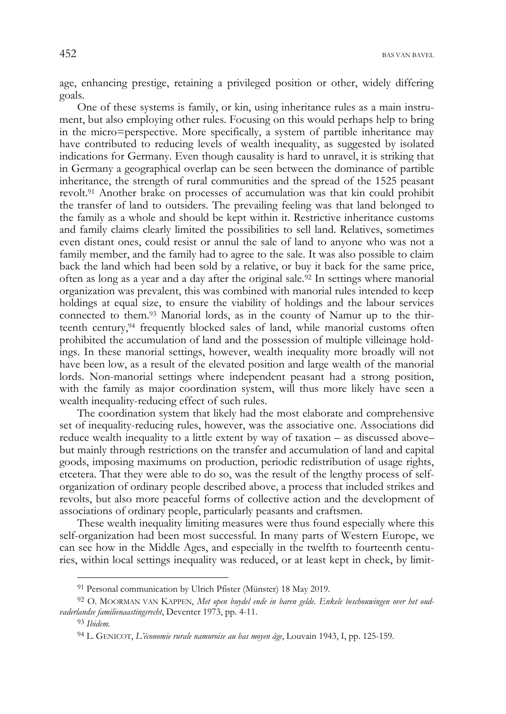age, enhancing prestige, retaining a privileged position or other, widely differing goals.

One of these systems is family, or kin, using inheritance rules as a main instrument, but also employing other rules. Focusing on this would perhaps help to bring in the micro=perspective. More specifically, a system of partible inheritance may have contributed to reducing levels of wealth inequality, as suggested by isolated indications for Germany. Even though causality is hard to unravel, it is striking that in Germany a geographical overlap can be seen between the dominance of partible inheritance, the strength of rural communities and the spread of the 1525 peasant revolt.91 Another brake on processes of accumulation was that kin could prohibit the transfer of land to outsiders. The prevailing feeling was that land belonged to the family as a whole and should be kept within it. Restrictive inheritance customs and family claims clearly limited the possibilities to sell land. Relatives, sometimes even distant ones, could resist or annul the sale of land to anyone who was not a family member, and the family had to agree to the sale. It was also possible to claim back the land which had been sold by a relative, or buy it back for the same price, often as long as a year and a day after the original sale.<sup>92</sup> In settings where manorial organization was prevalent, this was combined with manorial rules intended to keep holdings at equal size, to ensure the viability of holdings and the labour services connected to them.93 Manorial lords, as in the county of Namur up to the thirteenth century,94 frequently blocked sales of land, while manorial customs often prohibited the accumulation of land and the possession of multiple villeinage holdings. In these manorial settings, however, wealth inequality more broadly will not have been low, as a result of the elevated position and large wealth of the manorial lords. Non-manorial settings where independent peasant had a strong position, with the family as major coordination system, will thus more likely have seen a wealth inequality-reducing effect of such rules.

The coordination system that likely had the most elaborate and comprehensive set of inequality-reducing rules, however, was the associative one. Associations did reduce wealth inequality to a little extent by way of taxation – as discussed above– but mainly through restrictions on the transfer and accumulation of land and capital goods, imposing maximums on production, periodic redistribution of usage rights, etcetera. That they were able to do so, was the result of the lengthy process of selforganization of ordinary people described above, a process that included strikes and revolts, but also more peaceful forms of collective action and the development of associations of ordinary people, particularly peasants and craftsmen.

These wealth inequality limiting measures were thus found especially where this self-organization had been most successful. In many parts of Western Europe, we can see how in the Middle Ages, and especially in the twelfth to fourteenth centuries, within local settings inequality was reduced, or at least kept in check, by limit-

<sup>91</sup> Personal communication by Ulrich Pfister (Münster) 18 May 2019.

<sup>92</sup> O. MOORMAN VAN KAPPEN, *Met open buydel ende in baren gelde. Enkele beschouwingen over het oudvaderlandse familienaastingsrecht*, Deventer 1973, pp. 4-11.

<sup>93</sup> *Ibidem.*

<sup>94</sup> L. GENICOT, *L'économie rurale namuroise au bas moyen âge*, Louvain 1943, I, pp. 125-159.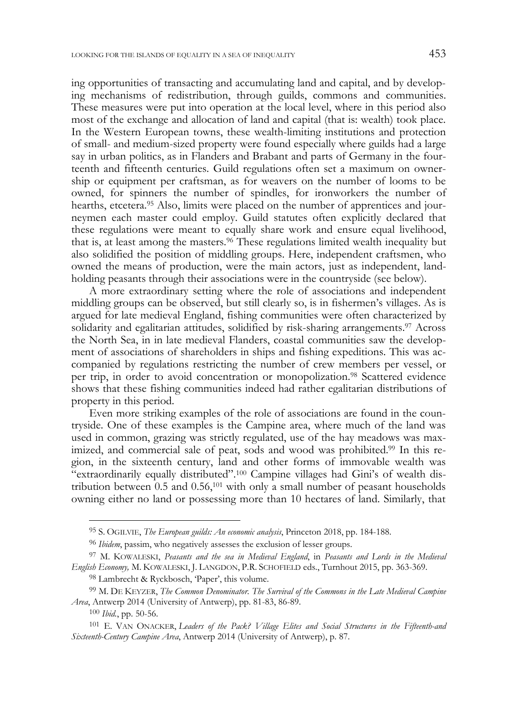ing opportunities of transacting and accumulating land and capital, and by developing mechanisms of redistribution, through guilds, commons and communities. These measures were put into operation at the local level, where in this period also most of the exchange and allocation of land and capital (that is: wealth) took place. In the Western European towns, these wealth-limiting institutions and protection of small- and medium-sized property were found especially where guilds had a large say in urban politics, as in Flanders and Brabant and parts of Germany in the fourteenth and fifteenth centuries. Guild regulations often set a maximum on ownership or equipment per craftsman, as for weavers on the number of looms to be owned, for spinners the number of spindles, for ironworkers the number of hearths, etcetera.<sup>95</sup> Also, limits were placed on the number of apprentices and journeymen each master could employ. Guild statutes often explicitly declared that these regulations were meant to equally share work and ensure equal livelihood, that is, at least among the masters.<sup>96</sup> These regulations limited wealth inequality but also solidified the position of middling groups. Here, independent craftsmen, who owned the means of production, were the main actors, just as independent, landholding peasants through their associations were in the countryside (see below).

A more extraordinary setting where the role of associations and independent middling groups can be observed, but still clearly so, is in fishermen's villages. As is argued for late medieval England, fishing communities were often characterized by solidarity and egalitarian attitudes, solidified by risk-sharing arrangements.97 Across the North Sea, in in late medieval Flanders, coastal communities saw the development of associations of shareholders in ships and fishing expeditions. This was accompanied by regulations restricting the number of crew members per vessel, or per trip, in order to avoid concentration or monopolization.98 Scattered evidence shows that these fishing communities indeed had rather egalitarian distributions of property in this period.

Even more striking examples of the role of associations are found in the countryside. One of these examples is the Campine area, where much of the land was used in common, grazing was strictly regulated, use of the hay meadows was maximized, and commercial sale of peat, sods and wood was prohibited.99 In this region, in the sixteenth century, land and other forms of immovable wealth was "extraordinarily equally distributed".100 Campine villages had Gini's of wealth distribution between  $0.5$  and  $0.56$ ,<sup>101</sup> with only a small number of peasant households owning either no land or possessing more than 10 hectares of land. Similarly, that

98 Lambrecht & Ryckbosch, 'Paper', this volume.

<sup>95</sup> S. OGILVIE, *The European guilds: An economic analysis*, Princeton 2018, pp. 184-188.

<sup>96</sup> *Ibidem*, passim, who negatively assesses the exclusion of lesser groups.

<sup>97</sup> M. KOWALESKI, *Peasants and the sea in Medieval England*, in *Peasants and Lords in the Medieval English Economy,* M. KOWALESKI, J. LANGDON, P.R. SCHOFIELD eds., Turnhout 2015, pp. 363-369.

<sup>99</sup> M. DE KEYZER, *The Common Denominator. The Survival of the Commons in the Late Medieval Campine Area*, Antwerp 2014 (University of Antwerp), pp. 81-83, 86-89.

<sup>100</sup> *Ibid.*, pp. 50-56.

<sup>101</sup> E. VAN ONACKER, *Leaders of the Pack? Village Elites and Social Structures in the Fifteenth-and Sixteenth-Century Campine Area*, Antwerp 2014 (University of Antwerp), p. 87.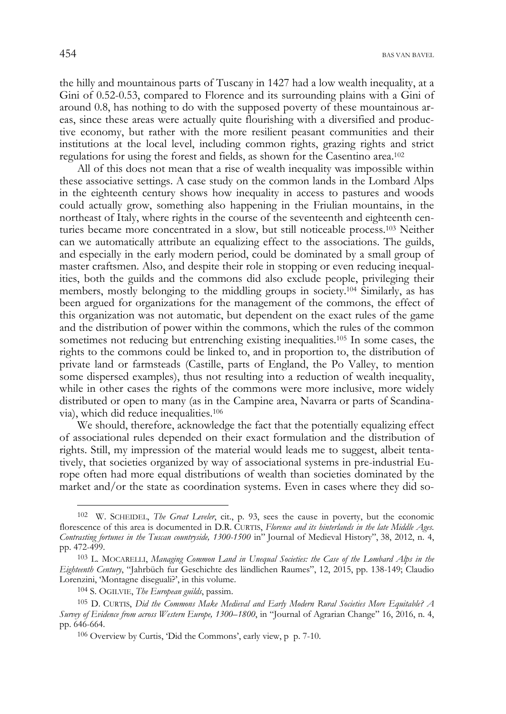the hilly and mountainous parts of Tuscany in 1427 had a low wealth inequality, at a Gini of 0.52-0.53, compared to Florence and its surrounding plains with a Gini of around 0.8, has nothing to do with the supposed poverty of these mountainous areas, since these areas were actually quite flourishing with a diversified and productive economy, but rather with the more resilient peasant communities and their institutions at the local level, including common rights, grazing rights and strict regulations for using the forest and fields, as shown for the Casentino area.102

All of this does not mean that a rise of wealth inequality was impossible within these associative settings. A case study on the common lands in the Lombard Alps in the eighteenth century shows how inequality in access to pastures and woods could actually grow, something also happening in the Friulian mountains, in the northeast of Italy, where rights in the course of the seventeenth and eighteenth centuries became more concentrated in a slow, but still noticeable process.103 Neither can we automatically attribute an equalizing effect to the associations. The guilds, and especially in the early modern period, could be dominated by a small group of master craftsmen. Also, and despite their role in stopping or even reducing inequalities, both the guilds and the commons did also exclude people, privileging their members, mostly belonging to the middling groups in society.104 Similarly, as has been argued for organizations for the management of the commons, the effect of this organization was not automatic, but dependent on the exact rules of the game and the distribution of power within the commons, which the rules of the common sometimes not reducing but entrenching existing inequalities.105 In some cases, the rights to the commons could be linked to, and in proportion to, the distribution of private land or farmsteads (Castille, parts of England, the Po Valley, to mention some dispersed examples), thus not resulting into a reduction of wealth inequality, while in other cases the rights of the commons were more inclusive, more widely distributed or open to many (as in the Campine area, Navarra or parts of Scandinavia), which did reduce inequalities.106

We should, therefore, acknowledge the fact that the potentially equalizing effect of associational rules depended on their exact formulation and the distribution of rights. Still, my impression of the material would leads me to suggest, albeit tentatively, that societies organized by way of associational systems in pre-industrial Europe often had more equal distributions of wealth than societies dominated by the market and/or the state as coordination systems. Even in cases where they did so-

<sup>102</sup> W. SCHEIDEL, *The Great Leveler*, cit., p. 93, sees the cause in poverty, but the economic florescence of this area is documented in D.R. CURTIS, *Florence and its hinterlands in the late Middle Ages. Contrasting fortunes in the Tuscan countryside, 1300-1500* in" Journal of Medieval History", 38, 2012, n. 4, pp. 472-499.

<sup>103</sup> L. MOCARELLI, *Managing Common Land in Unequal Societies: the Case of the Lombard Alps in the Eighteenth Century*, "Jahrbüch fur Geschichte des ländlichen Raumes", 12, 2015, pp. 138-149; Claudio Lorenzini, 'Montagne diseguali?', in this volume.

<sup>104</sup> S. OGILVIE, *The European guilds*, passim.

<sup>105</sup> D. CURTIS, *Did the Commons Make Medieval and Early Modern Rural Societies More Equitable? A Survey of Evidence from across Western Europe, 1300–1800*, in "Journal of Agrarian Change" 16, 2016, n. 4, pp. 646-664.

<sup>106</sup> Overview by Curtis, 'Did the Commons', early view, p p. 7-10.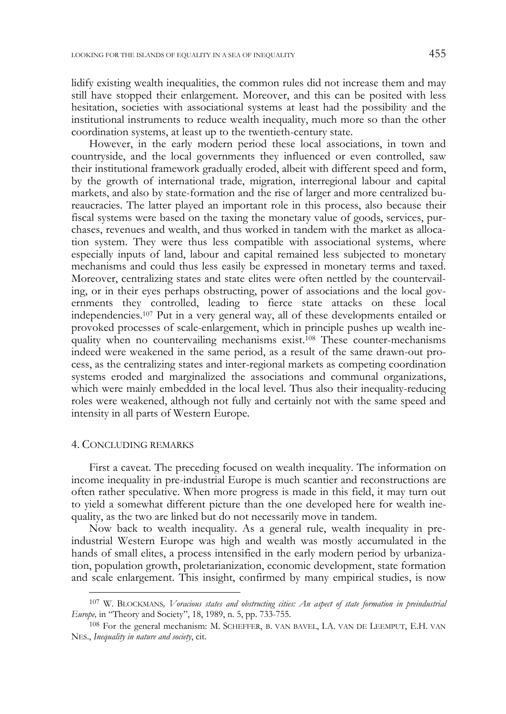lidify existing wealth inequalities, the common rules did not increase them and may still have stopped their enlargement. Moreover, and this can be posited with less hesitation, societies with associational systems at least had the possibility and the institutional instruments to reduce wealth inequality, much more so than the other coordination systems, at least up to the twentieth-century state.

However, in the early modern period these local associations, in town and countryside, and the local governments they influenced or even controlled, saw their institutional framework gradually eroded, albeit with different speed and form, by the growth of international trade, migration, interregional labour and capital markets, and also by state-formation and the rise of larger and more centralized bureaucracies. The latter played an important role in this process, also because their fiscal systems were based on the taxing the monetary value of goods, services, purchases, revenues and wealth, and thus worked in tandem with the market as allocation system. They were thus less compatible with associational systems, where especially inputs of land, labour and capital remained less subjected to monetary mechanisms and could thus less easily be expressed in monetary terms and taxed. Moreover, centralizing states and state elites were often nettled by the countervailing, or in their eyes perhaps obstructing, power of associations and the local governments they controlled, leading to fierce state attacks on these local independencies.107 Put in a very general way, all of these developments entailed or provoked processes of scale-enlargement, which in principle pushes up wealth inequality when no countervailing mechanisms exist.108 These counter-mechanisms indeed were weakened in the same period, as a result of the same drawn-out process, as the centralizing states and inter-regional markets as competing coordination systems eroded and marginalized the associations and communal organizations, which were mainly embedded in the local level. Thus also their inequality-reducing roles were weakened, although not fully and certainly not with the same speed and intensity in all parts of Western Europe.

#### 4. CONCLUDING REMARKS

First a caveat. The preceding focused on wealth inequality. The information on income inequality in pre-industrial Europe is much scantier and reconstructions are often rather speculative. When more progress is made in this field, it may turn out to yield a somewhat different picture than the one developed here for wealth inequality, as the two are linked but do not necessarily move in tandem.

Now back to wealth inequality. As a general rule, wealth inequality in preindustrial Western Europe was high and wealth was mostly accumulated in the hands of small elites, a process intensified in the early modern period by urbanization, population growth, proletarianization, economic development, state formation and scale enlargement. This insight, confirmed by many empirical studies, is now

<sup>107</sup> W. BLOCKMANS*, Voracious states and obstructing cities: An aspect of state formation in preindustrial Europe,* in "Theory and Society", 18, 1989, n. 5, pp. 733-755.

<sup>108</sup> For the general mechanism: M. SCHEFFER, B. VAN BAVEL, I.A. VAN DE LEEMPUT, E.H. VAN NES., *Inequality in nature and society*, cit.